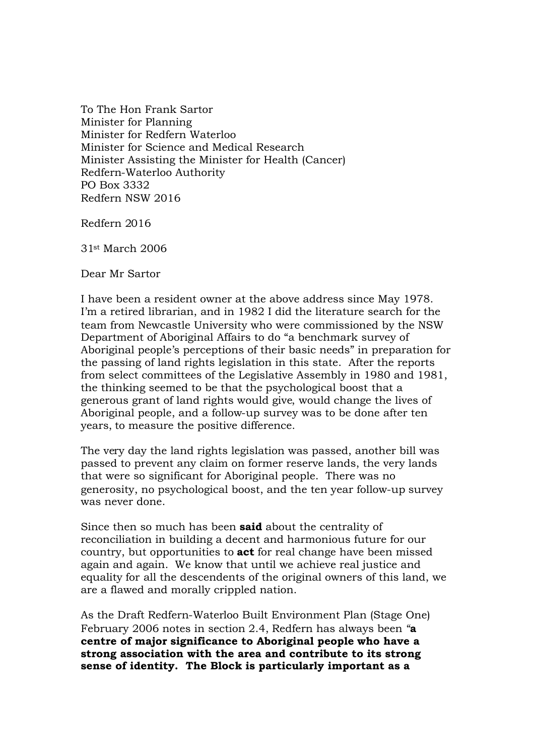To The Hon Frank Sartor Minister for Planning Minister for Redfern Waterloo Minister for Science and Medical Research Minister Assisting the Minister for Health (Cancer) Redfern-Waterloo Authority PO Box 3332 Redfern NSW 2016

Redfern 2016

31st March 2006

Dear Mr Sartor

I have been a resident owner at the above address since May 1978. I'm a retired librarian, and in 1982 I did the literature search for the team from Newcastle University who were commissioned by the NSW Department of Aboriginal Affairs to do "a benchmark survey of Aboriginal people's perceptions of their basic needs" in preparation for the passing of land rights legislation in this state. After the reports from select committees of the Legislative Assembly in 1980 and 1981, the thinking seemed to be that the psychological boost that a generous grant of land rights would give, would change the lives of Aboriginal people, and a follow-up survey was to be done after ten years, to measure the positive difference.

The very day the land rights legislation was passed, another bill was passed to prevent any claim on former reserve lands, the very lands that were so significant for Aboriginal people. There was no generosity, no psychological boost, and the ten year follow-up survey was never done.

Since then so much has been **said** about the centrality of reconciliation in building a decent and harmonious future for our country, but opportunities to **act** for real change have been missed again and again. We know that until we achieve real justice and equality for all the descendents of the original owners of this land, we are a flawed and morally crippled nation.

As the Draft Redfern-Waterloo Built Environment Plan (Stage One) February 2006 notes in section 2.4, Redfern has always been "**a centre of major significance to Aboriginal people who have a strong association with the area and contribute to its strong sense of identity. The Block is particularly important as a**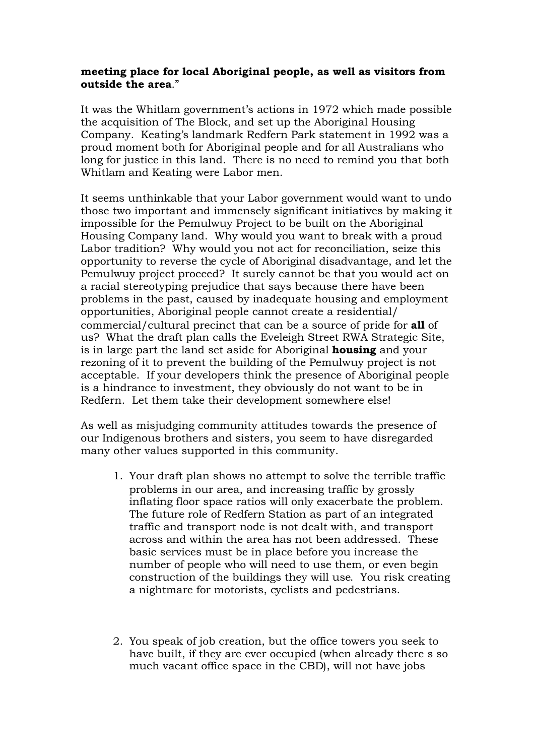## **meeting place for local Aboriginal people, as well as visitors from outside the area**."

It was the Whitlam government's actions in 1972 which made possible the acquisition of The Block, and set up the Aboriginal Housing Company. Keating's landmark Redfern Park statement in 1992 was a proud moment both for Aboriginal people and for all Australians who long for justice in this land. There is no need to remind you that both Whitlam and Keating were Labor men.

It seems unthinkable that your Labor government would want to undo those two important and immensely significant initiatives by making it impossible for the Pemulwuy Project to be built on the Aboriginal Housing Company land. Why would you want to break with a proud Labor tradition? Why would you not act for reconciliation, seize this opportunity to reverse the cycle of Aboriginal disadvantage, and let the Pemulwuy project proceed? It surely cannot be that you would act on a racial stereotyping prejudice that says because there have been problems in the past, caused by inadequate housing and employment opportunities, Aboriginal people cannot create a residential/ commercial/cultural precinct that can be a source of pride for **all** of us? What the draft plan calls the Eveleigh Street RWA Strategic Site, is in large part the land set aside for Aboriginal **housing** and your rezoning of it to prevent the building of the Pemulwuy project is not acceptable. If your developers think the presence of Aboriginal people is a hindrance to investment, they obviously do not want to be in Redfern. Let them take their development somewhere else!

As well as misjudging community attitudes towards the presence of our Indigenous brothers and sisters, you seem to have disregarded many other values supported in this community.

- 1. Your draft plan shows no attempt to solve the terrible traffic problems in our area, and increasing traffic by grossly inflating floor space ratios will only exacerbate the problem. The future role of Redfern Station as part of an integrated traffic and transport node is not dealt with, and transport across and within the area has not been addressed. These basic services must be in place before you increase the number of people who will need to use them, or even begin construction of the buildings they will use. You risk creating a nightmare for motorists, cyclists and pedestrians.
- 2. You speak of job creation, but the office towers you seek to have built, if they are ever occupied (when already there s so much vacant office space in the CBD), will not have jobs